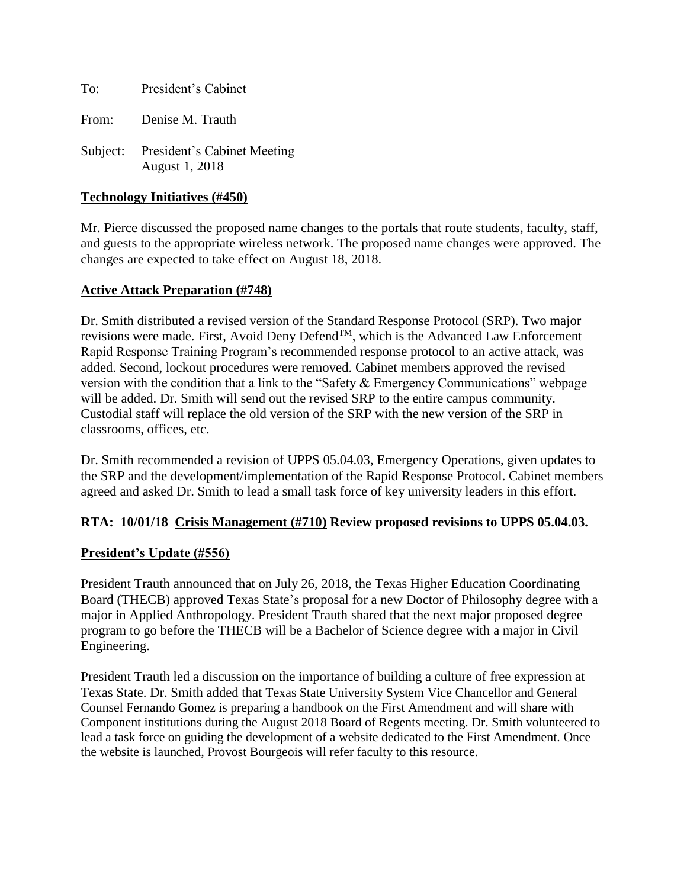To: President's Cabinet

From: Denise M. Trauth

Subject: President's Cabinet Meeting August 1, 2018

### **Technology Initiatives (#450)**

Mr. Pierce discussed the proposed name changes to the portals that route students, faculty, staff, and guests to the appropriate wireless network. The proposed name changes were approved. The changes are expected to take effect on August 18, 2018.

## **Active Attack Preparation (#748)**

Dr. Smith distributed a revised version of the Standard Response Protocol (SRP). Two major revisions were made. First, Avoid Deny DefendTM, which is the Advanced Law Enforcement Rapid Response Training Program's recommended response protocol to an active attack, was added. Second, lockout procedures were removed. Cabinet members approved the revised version with the condition that a link to the "Safety & Emergency Communications" webpage will be added. Dr. Smith will send out the revised SRP to the entire campus community. Custodial staff will replace the old version of the SRP with the new version of the SRP in classrooms, offices, etc.

Dr. Smith recommended a revision of UPPS 05.04.03, Emergency Operations, given updates to the SRP and the development/implementation of the Rapid Response Protocol. Cabinet members agreed and asked Dr. Smith to lead a small task force of key university leaders in this effort.

### **RTA: 10/01/18 Crisis Management (#710) Review proposed revisions to UPPS 05.04.03.**

## **President's Update (#556)**

President Trauth announced that on July 26, 2018, the Texas Higher Education Coordinating Board (THECB) approved Texas State's proposal for a new Doctor of Philosophy degree with a major in Applied Anthropology. President Trauth shared that the next major proposed degree program to go before the THECB will be a Bachelor of Science degree with a major in Civil Engineering.

President Trauth led a discussion on the importance of building a culture of free expression at Texas State. Dr. Smith added that Texas State University System Vice Chancellor and General Counsel Fernando Gomez is preparing a handbook on the First Amendment and will share with Component institutions during the August 2018 Board of Regents meeting. Dr. Smith volunteered to lead a task force on guiding the development of a website dedicated to the First Amendment. Once the website is launched, Provost Bourgeois will refer faculty to this resource.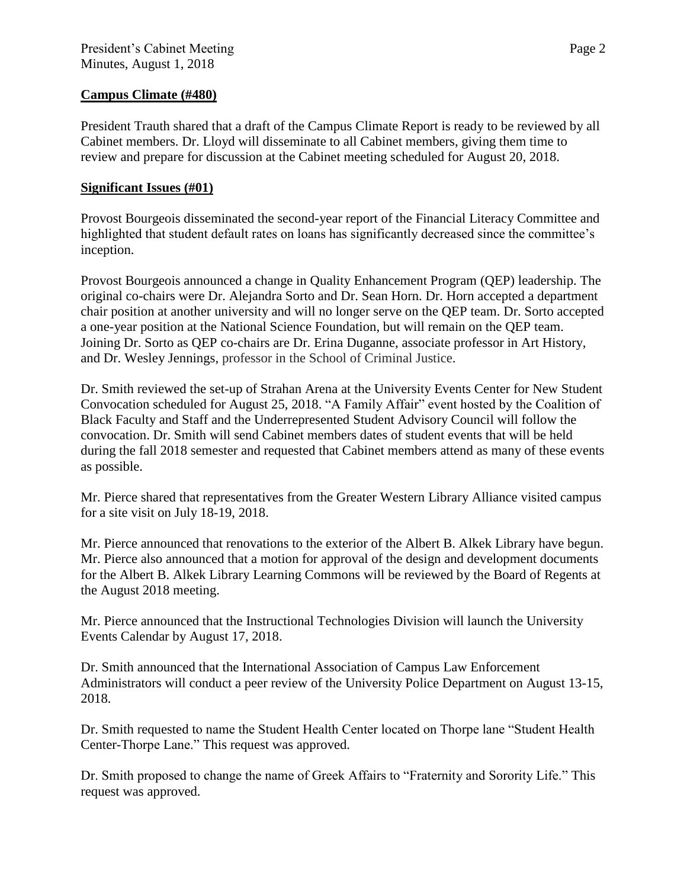## **Campus Climate (#480)**

President Trauth shared that a draft of the Campus Climate Report is ready to be reviewed by all Cabinet members. Dr. Lloyd will disseminate to all Cabinet members, giving them time to review and prepare for discussion at the Cabinet meeting scheduled for August 20, 2018.

## **Significant Issues (#01)**

Provost Bourgeois disseminated the second-year report of the Financial Literacy Committee and highlighted that student default rates on loans has significantly decreased since the committee's inception.

Provost Bourgeois announced a change in Quality Enhancement Program (QEP) leadership. The original co-chairs were Dr. Alejandra Sorto and Dr. Sean Horn. Dr. Horn accepted a department chair position at another university and will no longer serve on the QEP team. Dr. Sorto accepted a one-year position at the National Science Foundation, but will remain on the QEP team. Joining Dr. Sorto as QEP co-chairs are Dr. Erina Duganne, associate professor in Art History, and Dr. Wesley Jennings, professor in the School of Criminal Justice.

Dr. Smith reviewed the set-up of Strahan Arena at the University Events Center for New Student Convocation scheduled for August 25, 2018. "A Family Affair" event hosted by the Coalition of Black Faculty and Staff and the Underrepresented Student Advisory Council will follow the convocation. Dr. Smith will send Cabinet members dates of student events that will be held during the fall 2018 semester and requested that Cabinet members attend as many of these events as possible.

Mr. Pierce shared that representatives from the Greater Western Library Alliance visited campus for a site visit on July 18-19, 2018.

Mr. Pierce announced that renovations to the exterior of the Albert B. Alkek Library have begun. Mr. Pierce also announced that a motion for approval of the design and development documents for the Albert B. Alkek Library Learning Commons will be reviewed by the Board of Regents at the August 2018 meeting.

Mr. Pierce announced that the Instructional Technologies Division will launch the University Events Calendar by August 17, 2018.

Dr. Smith announced that the International Association of Campus Law Enforcement Administrators will conduct a peer review of the University Police Department on August 13-15, 2018.

Dr. Smith requested to name the Student Health Center located on Thorpe lane "Student Health Center-Thorpe Lane." This request was approved.

Dr. Smith proposed to change the name of Greek Affairs to "Fraternity and Sorority Life." This request was approved.